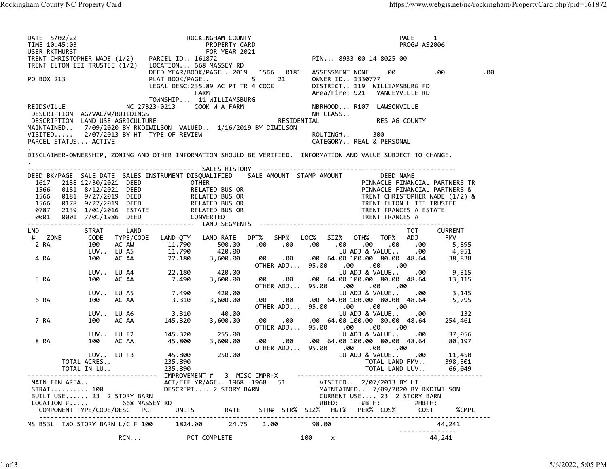|                                                               | Rockingham County NC Property Card                                 |                        |                                                                               |                                |              |                                                                                                                                                                                                                                            |                                                                                                        |              |                                                                  |     |
|---------------------------------------------------------------|--------------------------------------------------------------------|------------------------|-------------------------------------------------------------------------------|--------------------------------|--------------|--------------------------------------------------------------------------------------------------------------------------------------------------------------------------------------------------------------------------------------------|--------------------------------------------------------------------------------------------------------|--------------|------------------------------------------------------------------|-----|
|                                                               |                                                                    |                        |                                                                               |                                |              |                                                                                                                                                                                                                                            |                                                                                                        |              |                                                                  |     |
|                                                               |                                                                    |                        |                                                                               |                                |              |                                                                                                                                                                                                                                            |                                                                                                        |              |                                                                  |     |
|                                                               |                                                                    |                        |                                                                               |                                |              |                                                                                                                                                                                                                                            |                                                                                                        |              |                                                                  |     |
|                                                               |                                                                    |                        |                                                                               |                                |              |                                                                                                                                                                                                                                            |                                                                                                        |              |                                                                  |     |
|                                                               |                                                                    |                        |                                                                               |                                |              |                                                                                                                                                                                                                                            |                                                                                                        |              |                                                                  |     |
|                                                               |                                                                    |                        |                                                                               |                                |              |                                                                                                                                                                                                                                            |                                                                                                        |              | https://www.webgis.net/nc/rockingham/PropertyCard.php?pid=161872 |     |
| DATE 5/02/22                                                  |                                                                    |                        |                                                                               | ROCKINGHAM COUNTY              |              |                                                                                                                                                                                                                                            |                                                                                                        | PAGE<br>1    |                                                                  |     |
| TIME 10:45:03<br>USER RKTHURST                                |                                                                    |                        |                                                                               | PROPERTY CARD<br>FOR YEAR 2021 |              |                                                                                                                                                                                                                                            |                                                                                                        | PROG# AS2006 |                                                                  |     |
| TRENT CHRISTOPHER WADE (1/2)<br>TRENT ELTON III TRUSTEE (1/2) |                                                                    |                        | PARCEL ID 161872<br>LOCATION 668 MASSEY RD<br>DEED YEAR/BOOK/PAGE 2019        |                                | 1566<br>0181 | ASSESSMENT NONE                                                                                                                                                                                                                            | PIN 8933 00 14 8025 00<br>.00                                                                          |              | .00                                                              | .00 |
| PO BOX 213                                                    |                                                                    |                        | PLAT BOOK/PAGE<br>LEGAL DESC:235.89 AC PT TR 4 COOK                           | <b>FARM</b>                    | 5<br>21      | OWNER ID 1330777<br>Area/Fire: 921                                                                                                                                                                                                         | DISTRICT 119 WILLIAMSBURG FD<br>YANCEYVILLE RD                                                         |              |                                                                  |     |
| REIDSVILLE                                                    |                                                                    |                        | TOWNSHIP 11 WILLIAMSBURG<br>NC 27323-0213                                     | COOK W A FARM                  |              | NBRHOOD R107                                                                                                                                                                                                                               | LAWSONVILLE                                                                                            |              |                                                                  |     |
| MAINTAINED                                                    | DESCRIPTION AG/VAC/W/BUILDINGS<br>DESCRIPTION LAND USE AGRICULTURE |                        | 7/09/2020 BY RKDIWILSON VALUED 1/16/2019 BY DIWILSON                          |                                | RESIDENTIAL  | NH CLASS                                                                                                                                                                                                                                   | RES AG COUNTY                                                                                          |              |                                                                  |     |
| PARCEL STATUS ACTIVE                                          |                                                                    |                        | VISITED 2/07/2013 BY HT TYPE OF REVIEW                                        |                                |              | ROUTING#                                                                                                                                                                                                                                   | 300<br>CATEGORY REAL & PERSONAL                                                                        |              |                                                                  |     |
|                                                               |                                                                    |                        |                                                                               |                                |              | DISCLAIMER-OWNERSHIP, ZONING AND OTHER INFORMATION SHOULD BE VERIFIED. INFORMATION AND VALUE SUBJECT TO CHANGE.                                                                                                                            |                                                                                                        |              |                                                                  |     |
|                                                               | 1617 2138 12/30/2021 DEED                                          |                        | DEED BK/PAGE SALE DATE SALES INSTRUMENT DISQUALIFIED SALE AMOUNT STAMP AMOUNT | OTHER                          |              |                                                                                                                                                                                                                                            | DEED NAME<br>PINNACLE FINANCIAL PARTNERS TR                                                            |              |                                                                  |     |
|                                                               |                                                                    |                        |                                                                               |                                |              | 1566 0181 1/2/2021 DEED RELATED BUS OR<br>1566 0181 8/12/2021 DEED RELATED BUS OR PINNACLE FINANCIAL PARTNERS R<br>1566 0178 9/27/2019 DEED RELATED BUS OR<br>1566 0178 9/27/2019 DEED RELATED BUS OR TRENT CHRISTOPHER WADE (1/2) &<br>17 |                                                                                                        |              |                                                                  |     |
|                                                               |                                                                    |                        |                                                                               |                                |              |                                                                                                                                                                                                                                            |                                                                                                        |              |                                                                  |     |
|                                                               |                                                                    |                        |                                                                               |                                |              |                                                                                                                                                                                                                                            |                                                                                                        |              |                                                                  |     |
| LND<br># ZONE                                                 | <b>STRAT</b>                                                       | LAND<br>CODE TYPE/CODE |                                                                               |                                |              | LAND QTY LAND RATE DPT% SHP% LOC% SIZ% OTH% TOP% ADJ                                                                                                                                                                                       |                                                                                                        | тот          | <b>CURRENT</b><br>FMV                                            |     |
| 2 RA                                                          | 100<br>LUV LU A5                                                   | AC AW                  | 11.790<br>11.790                                                              | 500.00<br>420.00               | .00 .00      | .00                                                                                                                                                                                                                                        | .00 .00 .00 .00<br>LU ADJ & VALUE .00                                                                  |              | 5,895<br>4,951                                                   |     |
| 4 RA                                                          | 100                                                                | AC AA                  | 22.180                                                                        | 3,600.00                       | .00 .00      | .00 64.00 100.00 80.00 48.64                                                                                                                                                                                                               |                                                                                                        |              | 38,838                                                           |     |
|                                                               | LUV LU A4                                                          |                        | 22.180                                                                        | 420.00                         |              | 07HER ADJ 95.00 .00 .00 .00                                                                                                                                                                                                                | LU ADJ & VALUE .00                                                                                     |              | 9,315                                                            |     |
| 5 RA                                                          | 100                                                                | AC AA                  | 7.490                                                                         | 3,600.00                       | .00 .00      | .00 64.00 100.00 80.00 48.64                                                                                                                                                                                                               |                                                                                                        |              | 13,115                                                           |     |
|                                                               | LUV LU A5                                                          |                        | 7.490                                                                         | 420.00                         |              | 07HER ADJ 95.00 .00 .00 .00                                                                                                                                                                                                                | LU ADJ & VALUE .00                                                                                     |              | 3,145                                                            |     |
|                                                               | 100                                                                | AC AA                  | 3.310                                                                         | 3,600.00                       | .00 .00      | .00 64.00 100.00 80.00 48.64                                                                                                                                                                                                               |                                                                                                        |              | 5,795                                                            |     |
| 6 RA                                                          | LUV LU A6                                                          |                        | 3.310                                                                         | 40.00                          |              | 0THER ADJ 95.00 .00 .00 .00                                                                                                                                                                                                                | LU ADJ & VALUE .00                                                                                     |              | 132                                                              |     |
|                                                               |                                                                    | AC AA                  | 145.320                                                                       | 3,600.00                       | .00 .00      | .00 64.00 100.00 80.00 48.64<br>0THER ADJ 95.00 .00 .00 .00                                                                                                                                                                                |                                                                                                        |              | 254,461                                                          |     |
| 7 RA                                                          | 100                                                                |                        | 145.320                                                                       | 255.00                         |              |                                                                                                                                                                                                                                            | LU ADJ & VALUE .00                                                                                     |              | 37,056                                                           |     |
|                                                               | LUV LU F2                                                          |                        |                                                                               | 3,600.00                       | .00 .00      | .00 64.00 100.00 80.00 48.64                                                                                                                                                                                                               |                                                                                                        |              | 80,197                                                           |     |
| 8 RA                                                          | 100 AC AA                                                          |                        | 45.800                                                                        |                                |              |                                                                                                                                                                                                                                            |                                                                                                        |              |                                                                  |     |
|                                                               |                                                                    | LUV LU F3              | 45.800                                                                        | 250.00                         |              |                                                                                                                                                                                                                                            | 07HER ADJ 95.00 .00 .00 .00<br>LU ADJ & VALUE .00                                                      |              | 11,450                                                           |     |
|                                                               | TOTAL ACRES                                                        |                        | 235.890                                                                       |                                |              |                                                                                                                                                                                                                                            | TOTAL LAND FMV                                                                                         |              | 398,301                                                          |     |
|                                                               |                                                                    |                        |                                                                               |                                |              |                                                                                                                                                                                                                                            |                                                                                                        |              |                                                                  |     |
|                                                               |                                                                    |                        |                                                                               |                                |              |                                                                                                                                                                                                                                            |                                                                                                        |              |                                                                  |     |
|                                                               | BUILT USE 23 2 STORY BARN                                          |                        |                                                                               |                                |              |                                                                                                                                                                                                                                            | CURRENT USE 23 2 STORY BARN                                                                            |              |                                                                  |     |
|                                                               | $\mathsf{LOCALION}\; \# \ldots$ .                                  |                        |                                                                               |                                |              |                                                                                                                                                                                                                                            |                                                                                                        |              |                                                                  |     |
|                                                               |                                                                    |                        |                                                                               |                                |              |                                                                                                                                                                                                                                            |                                                                                                        |              |                                                                  |     |
|                                                               | MS B53L TWO STORY BARN L/C F 100                                   |                        | 1824.00<br>RCN PCT COMPLETE                                                   | 24.75 1.00                     |              | $100 \times$                                                                                                                                                                                                                               | 98.00<br>$\mathcal{L}(\mathcal{L}(\mathcal{L}))$ . The contract contract of $\mathcal{L}(\mathcal{L})$ |              | 44,241<br>44,241                                                 |     |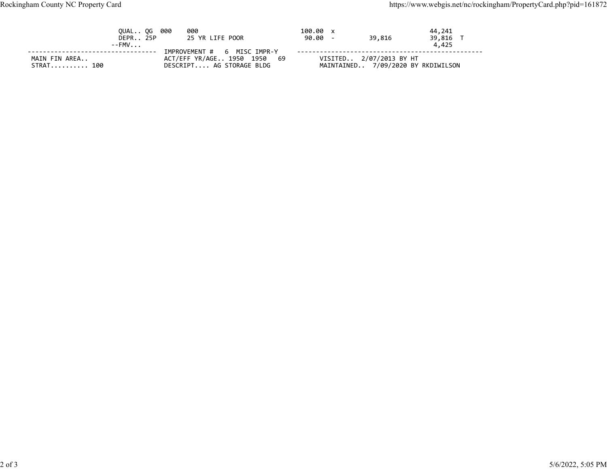| Rockingham County NC Property Card                                       |                                    |                                                                                           |                     |                                                               | https://www.webgis.net/nc/rockingham/PropertyCard.php?pid=161872 |  |  |
|--------------------------------------------------------------------------|------------------------------------|-------------------------------------------------------------------------------------------|---------------------|---------------------------------------------------------------|------------------------------------------------------------------|--|--|
|                                                                          | QUAL QG 000<br>DEPR 25P<br>$--FMV$ | 000<br>25 YR LIFE POOR                                                                    | 100.00 x<br>90.00 - | 39,816                                                        | 44,241<br>39,816 T<br>4,425                                      |  |  |
| -------------------------------<br>-----<br>MAIN FIN AREA<br>$STRAT$ 100 |                                    | IMPROVEMENT #<br>6 MISC IMPR-Y<br>ACT/EFF YR/AGE 1950 1950 69<br>DESCRIPT AG STORAGE BLDG | ---------           | VISITED 2/07/2013 BY HT<br>MAINTAINED 7/09/2020 BY RKDIWILSON | ----------------------                                           |  |  |